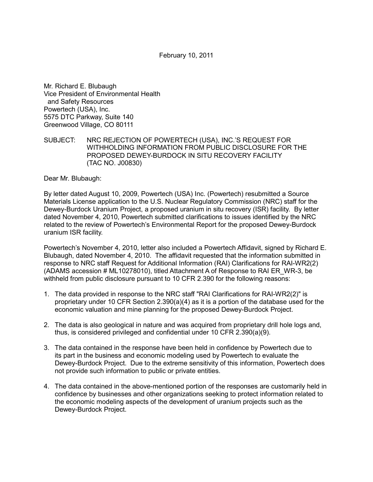February 10, 2011

Mr. Richard E. Blubaugh Vice President of Environmental Health and Safety Resources Powertech (USA), Inc. 5575 DTC Parkway, Suite 140 Greenwood Village, CO 80111

SUBJECT: NRC REJECTION OF POWERTECH (USA), INC.'S REQUEST FOR WITHHOLDING INFORMATION FROM PUBLIC DISCLOSURE FOR THE PROPOSED DEWEY-BURDOCK IN SITU RECOVERY FACILITY (TAC NO. J00830)

Dear Mr. Blubaugh:

By letter dated August 10, 2009, Powertech (USA) Inc. (Powertech) resubmitted a Source Materials License application to the U.S. Nuclear Regulatory Commission (NRC) staff for the Dewey-Burdock Uranium Project, a proposed uranium in situ recovery (ISR) facility. By letter dated November 4, 2010, Powertech submitted clarifications to issues identified by the NRC related to the review of Powertech's Environmental Report for the proposed Dewey-Burdock uranium ISR facility.

Powertech's November 4, 2010, letter also included a Powertech Affidavit, signed by Richard E. Blubaugh, dated November 4, 2010. The affidavit requested that the information submitted in response to NRC staff Request for Additional Information (RAI) Clarifications for RAI-WR2(2) (ADAMS accession # ML10278010), titled Attachment A of Response to RAI ER\_WR-3, be withheld from public disclosure pursuant to 10 CFR 2.390 for the following reasons:

- 1. The data provided in response to the NRC staff "RAI Clarifications for RAI-WR2(2)" is proprietary under 10 CFR Section 2.390(a)(4) as it is a portion of the database used for the economic valuation and mine planning for the proposed Dewey-Burdock Project.
- 2. The data is also geological in nature and was acquired from proprietary drill hole logs and, thus, is considered privileged and confidential under 10 CFR 2.390(a)(9).
- 3. The data contained in the response have been held in confidence by Powertech due to its part in the business and economic modeling used by Powertech to evaluate the Dewey-Burdock Project. Due to the extreme sensitivity of this information, Powertech does not provide such information to public or private entities.
- 4. The data contained in the above-mentioned portion of the responses are customarily held in confidence by businesses and other organizations seeking to protect information related to the economic modeling aspects of the development of uranium projects such as the Dewey-Burdock Project.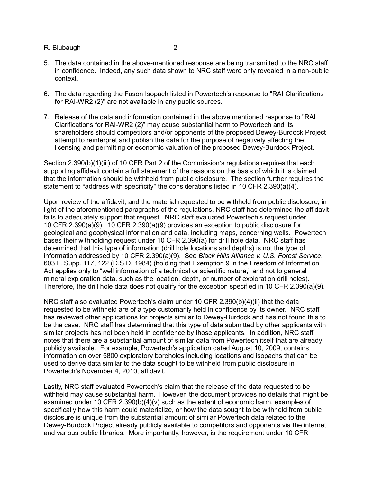## R. Blubaugh 2

- 5. The data contained in the above-mentioned response are being transmitted to the NRC staff in confidence. Indeed, any such data shown to NRC staff were only revealed in a non-public context.
- 6. The data regarding the Fuson Isopach listed in Powertech's response to "RAI Clarifications for RAI-WR2 (2)" are not available in any public sources.
- 7. Release of the data and information contained in the above mentioned response to "RAI Clarifications for RAI-WR2 (2)" may cause substantial harm to Powertech and its shareholders should competitors and/or opponents of the proposed Dewey-Burdock Project attempt to reinterpret and publish the data for the purpose of negatively affecting the licensing and permitting or economic valuation of the proposed Dewey-Burdock Project.

Section  $2.390(b)(1)(iii)$  of 10 CFR Part 2 of the Commission's regulations requires that each supporting affidavit contain a full statement of the reasons on the basis of which it is claimed that the information should be withheld from public disclosure. The section further requires the statement to "address with specificity" the considerations listed in 10 CFR 2.390(a)(4).

Upon review of the affidavit, and the material requested to be withheld from public disclosure, in light of the aforementioned paragraphs of the regulations, NRC staff has determined the affidavit fails to adequately support that request. NRC staff evaluated Powertech's request under 10 CFR 2.390(a)(9). 10 CFR 2.390(a)(9) provides an exception to public disclosure for geological and geophysical information and data, including maps, concerning wells. Powertech bases their withholding request under 10 CFR 2.390(a) for drill hole data. NRC staff has determined that this type of information (drill hole locations and depths) is not the type of information addressed by 10 CFR 2.390(a)(9). See *Black Hills Alliance v. U.S. Forest Service*, 603 F. Supp. 117, 122 (D.S.D. 1984) (holding that Exemption 9 in the Freedom of Information Act applies only to "well information of a technical or scientific nature," and not to general mineral exploration data, such as the location, depth, or number of exploration drill holes). Therefore, the drill hole data does not qualify for the exception specified in 10 CFR 2.390(a)(9).

NRC staff also evaluated Powertech's claim under 10 CFR 2.390(b)(4)(ii) that the data requested to be withheld are of a type customarily held in confidence by its owner. NRC staff has reviewed other applications for projects similar to Dewey-Burdock and has not found this to be the case. NRC staff has determined that this type of data submitted by other applicants with similar projects has not been held in confidence by those applicants. In addition, NRC staff notes that there are a substantial amount of similar data from Powertech itself that are already publicly available. For example, Powertech's application dated August 10, 2009, contains information on over 5800 exploratory boreholes including locations and isopachs that can be used to derive data similar to the data sought to be withheld from public disclosure in Powertech's November 4, 2010, affidavit.

Lastly, NRC staff evaluated Powertech's claim that the release of the data requested to be withheld may cause substantial harm. However, the document provides no details that might be examined under 10 CFR  $2.390(b)(4)(v)$  such as the extent of economic harm, examples of specifically how this harm could materialize, or how the data sought to be withheld from public disclosure is unique from the substantial amount of similar Powertech data related to the Dewey-Burdock Project already publicly available to competitors and opponents via the internet and various public libraries. More importantly, however, is the requirement under 10 CFR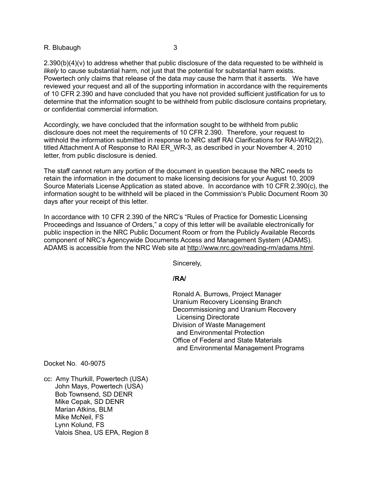## R. Blubaugh 3

 $2.390(b)(4)(v)$  to address whether that public disclosure of the data requested to be withheld is *likely* to cause substantial harm, not just that the potential for substantial harm exists. Powertech only claims that release of the data *may* cause the harm that it asserts. We have reviewed your request and all of the supporting information in accordance with the requirements of 10 CFR 2.390 and have concluded that you have not provided sufficient justification for us to determine that the information sought to be withheld from public disclosure contains proprietary, or confidential commercial information.

Accordingly, we have concluded that the information sought to be withheld from public disclosure does not meet the requirements of 10 CFR 2.390. Therefore, your request to withhold the information submitted in response to NRC staff RAI Clarifications for RAI-WR2(2), titled Attachment A of Response to RAI ER\_WR-3, as described in your November 4, 2010 letter, from public disclosure is denied.

The staff cannot return any portion of the document in question because the NRC needs to retain the information in the document to make licensing decisions for your August 10, 2009 Source Materials License Application as stated above. In accordance with 10 CFR 2.390(c), the information sought to be withheld will be placed in the Commission's Public Document Room 30 days after your receipt of this letter.

In accordance with 10 CFR 2.390 of the NRC's "Rules of Practice for Domestic Licensing Proceedings and Issuance of Orders," a copy of this letter will be available electronically for public inspection in the NRC Public Document Room or from the Publicly Available Records component of NRC's Agencywide Documents Access and Management System (ADAMS). ADAMS is accessible from the NRC Web site at http://www.nrc.gov/reading-rm/adams.html.

Sincerely,

## *<i><u> /RA/*  $\sim$  /RA/  $\sim$ </u>

 Ronald A. Burrows, Project Manager Uranium Recovery Licensing Branch Decommissioning and Uranium Recovery Licensing Directorate Division of Waste Management and Environmental Protection Office of Federal and State Materials and Environmental Management Programs

Docket No. 40-9075

cc: Amy Thurkill, Powertech (USA) John Mays, Powertech (USA) Bob Townsend, SD DENR Mike Cepak, SD DENR Marian Atkins, BLM Mike McNeil, FS Lynn Kolund, FS Valois Shea, US EPA, Region 8